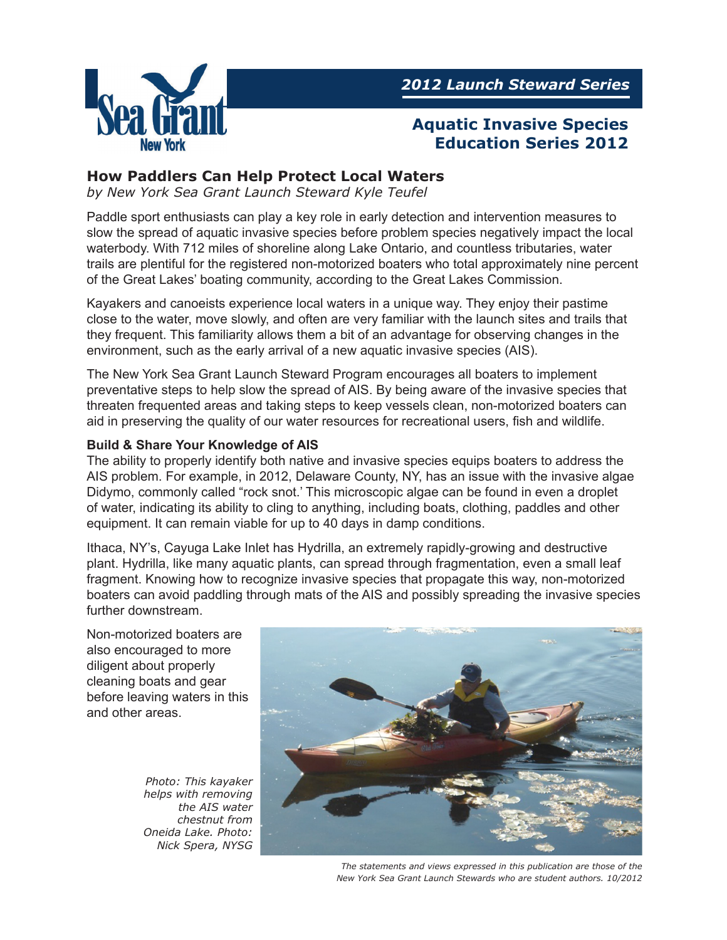

# **Aquatic Invasive Species Education Series 2012**

## **How Paddlers Can Help Protect Local Waters**

*by New York Sea Grant Launch Steward Kyle Teufel*

Paddle sport enthusiasts can play a key role in early detection and intervention measures to slow the spread of aquatic invasive species before problem species negatively impact the local waterbody. With 712 miles of shoreline along Lake Ontario, and countless tributaries, water trails are plentiful for the registered non-motorized boaters who total approximately nine percent of the Great Lakes' boating community, according to the Great Lakes Commission.

Kayakers and canoeists experience local waters in a unique way. They enjoy their pastime close to the water, move slowly, and often are very familiar with the launch sites and trails that they frequent. This familiarity allows them a bit of an advantage for observing changes in the environment, such as the early arrival of a new aquatic invasive species (AIS).

The New York Sea Grant Launch Steward Program encourages all boaters to implement preventative steps to help slow the spread of AIS. By being aware of the invasive species that threaten frequented areas and taking steps to keep vessels clean, non-motorized boaters can aid in preserving the quality of our water resources for recreational users, fish and wildlife.

#### **Build & Share Your Knowledge of AIS**

The ability to properly identify both native and invasive species equips boaters to address the AIS problem. For example, in 2012, Delaware County, NY, has an issue with the invasive algae Didymo, commonly called "rock snot.' This microscopic algae can be found in even a droplet of water, indicating its ability to cling to anything, including boats, clothing, paddles and other equipment. It can remain viable for up to 40 days in damp conditions.

Ithaca, NY's, Cayuga Lake Inlet has Hydrilla, an extremely rapidly-growing and destructive plant. Hydrilla, like many aquatic plants, can spread through fragmentation, even a small leaf fragment. Knowing how to recognize invasive species that propagate this way, non-motorized boaters can avoid paddling through mats of the AIS and possibly spreading the invasive species further downstream.

Non-motorized boaters are also encouraged to more diligent about properly cleaning boats and gear before leaving waters in this and other areas.

*Photo: This kayaker helps with removing the AIS water chestnut from Oneida Lake. Photo: Nick Spera, NYSG* 



*The statements and views expressed in this publication are those of the New York Sea Grant Launch Stewards who are student authors. 10/2012*